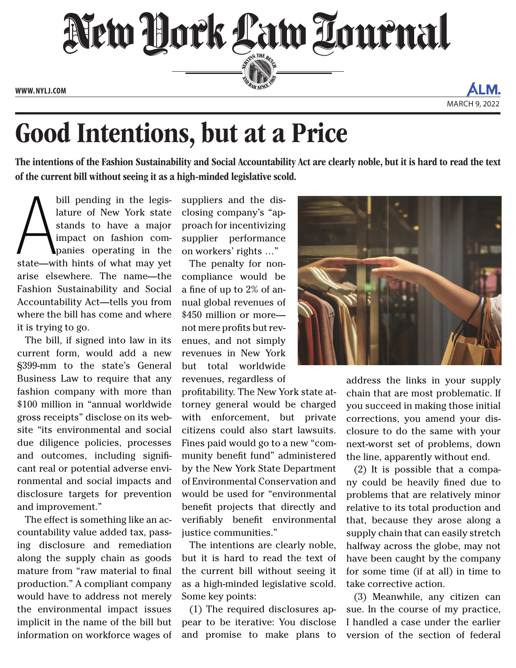

**www. NYLJ.com**

AI M

## Good Intentions, but at a Price

The intentions of the Fashion Sustainability and Social Accountability Act are clearly noble, but it is hard to read the text of the current bill without seeing it as a high-minded legislative scold.

bill pending in the legis-<br>lature of New York state<br>stands to have a major<br>impact on fashion com-<br>panies operating in the<br>state—with hints of what may yet bill pending in the legislature of New York state stands to have a major impact on fashion companies operating in the arise elsewhere. The name—the Fashion Sustainability and Social Accountability Act—tells you from where the bill has come and where it is trying to go.

The bill, if signed into law in its current form, would add a new §399-mm to the state's General Business Law to require that any fashion company with more than \$100 million in "annual worldwide gross receipts" disclose on its website "its environmental and social due diligence policies, processes and outcomes, including significant real or potential adverse environmental and social impacts and disclosure targets for prevention and improvement."

The effect is something like an accountability value added tax, passing disclosure and remediation along the supply chain as goods mature from "raw material to final production." A compliant company would have to address not merely the environmental impact issues implicit in the name of the bill but information on workforce wages of

suppliers and the disclosing company's "approach for incentivizing supplier performance on workers' rights …"

The penalty for noncompliance would be a fine of up to 2% of annual global revenues of \$450 million or more not mere profits but revenues, and not simply revenues in New York but total worldwide revenues, regardless of

profitability. The New York state attorney general would be charged with enforcement, but private citizens could also start lawsuits. Fines paid would go to a new "community benefit fund" administered by the New York State Department of Environmental Conservation and would be used for "environmental benefit projects that directly and verifiably benefit environmental justice communities."

The intentions are clearly noble, but it is hard to read the text of the current bill without seeing it as a high-minded legislative scold. Some key points:

(1) The required disclosures appear to be iterative: You disclose and promise to make plans to



address the links in your supply chain that are most problematic. If you succeed in making those initial corrections, you amend your disclosure to do the same with your next-worst set of problems, down the line, apparently without end.

(2) It is possible that a company could be heavily fined due to problems that are relatively minor relative to its total production and that, because they arose along a supply chain that can easily stretch halfway across the globe, may not have been caught by the company for some time (if at all) in time to take corrective action.

(3) Meanwhile, any citizen can sue. In the course of my practice, I handled a case under the earlier version of the section of federal